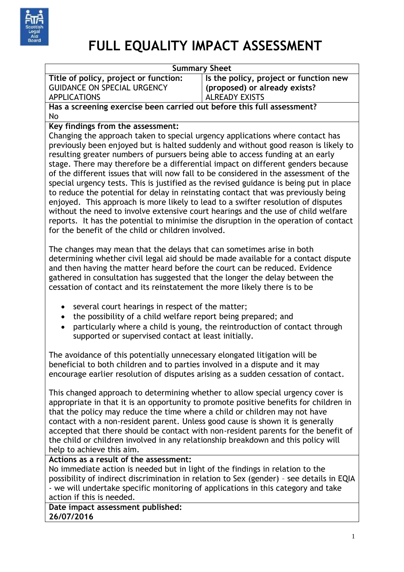

## **FULL EQUALITY IMPACT ASSESSMENT**

|                                                                                        | <b>Summary Sheet</b>                                                                 |  |
|----------------------------------------------------------------------------------------|--------------------------------------------------------------------------------------|--|
| Title of policy, project or function:                                                  | Is the policy, project or function new                                               |  |
| <b>GUIDANCE ON SPECIAL URGENCY</b>                                                     | (proposed) or already exists?                                                        |  |
| <b>APPLICATIONS</b>                                                                    | <b>ALREADY EXISTS</b>                                                                |  |
| Has a screening exercise been carried out before this full assessment?                 |                                                                                      |  |
| No                                                                                     |                                                                                      |  |
| Key findings from the assessment:                                                      |                                                                                      |  |
| Changing the approach taken to special urgency applications where contact has          |                                                                                      |  |
|                                                                                        | previously been enjoyed but is halted suddenly and without good reason is likely to  |  |
| resulting greater numbers of pursuers being able to access funding at an early         |                                                                                      |  |
| stage. There may therefore be a differential impact on different genders because       |                                                                                      |  |
| of the different issues that will now fall to be considered in the assessment of the   |                                                                                      |  |
| special urgency tests. This is justified as the revised guidance is being put in place |                                                                                      |  |
| to reduce the potential for delay in reinstating contact that was previously being     |                                                                                      |  |
| enjoyed. This approach is more likely to lead to a swifter resolution of disputes      |                                                                                      |  |
| without the need to involve extensive court hearings and the use of child welfare      |                                                                                      |  |
|                                                                                        | reports. It has the potential to minimise the disruption in the operation of contact |  |
| for the benefit of the child or children involved.                                     |                                                                                      |  |
|                                                                                        |                                                                                      |  |
|                                                                                        |                                                                                      |  |
| The changes may mean that the delays that can sometimes arise in both                  |                                                                                      |  |
| determining whether civil legal aid should be made available for a contact dispute     |                                                                                      |  |
| and then having the matter heard before the court can be reduced. Evidence             |                                                                                      |  |
| gathered in consultation has suggested that the longer the delay between the           |                                                                                      |  |
| cessation of contact and its reinstatement the more likely there is to be              |                                                                                      |  |
|                                                                                        |                                                                                      |  |
| several court hearings in respect of the matter;<br>٠                                  |                                                                                      |  |
| the possibility of a child welfare report being prepared; and<br>$\bullet$             |                                                                                      |  |
|                                                                                        | particularly where a child is young, the reintroduction of contact through           |  |
| supported or supervised contact at least initially.                                    |                                                                                      |  |

The avoidance of this potentially unnecessary elongated litigation will be beneficial to both children and to parties involved in a dispute and it may encourage earlier resolution of disputes arising as a sudden cessation of contact.

This changed approach to determining whether to allow special urgency cover is appropriate in that it is an opportunity to promote positive benefits for children in that the policy may reduce the time where a child or children may not have contact with a non-resident parent. Unless good cause is shown it is generally accepted that there should be contact with non-resident parents for the benefit of the child or children involved in any relationship breakdown and this policy will help to achieve this aim.

## **Actions as a result of the assessment:**

No immediate action is needed but in light of the findings in relation to the possibility of indirect discrimination in relation to Sex (gender) – see details in EQIA - we will undertake specific monitoring of applications in this category and take action if this is needed.

**Date impact assessment published: 26/07/2016**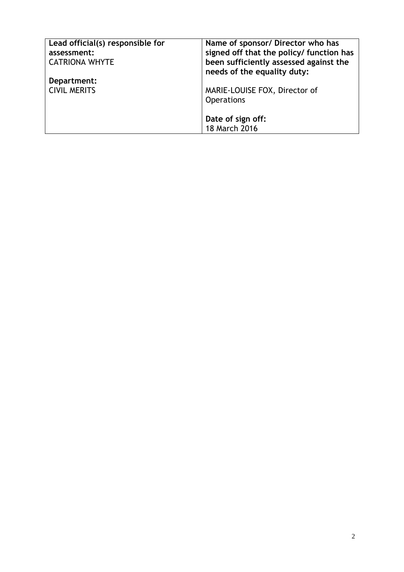| Lead official(s) responsible for<br>assessment:<br><b>CATRIONA WHYTE</b> | Name of sponsor/ Director who has<br>signed off that the policy/ function has<br>been sufficiently assessed against the<br>needs of the equality duty: |
|--------------------------------------------------------------------------|--------------------------------------------------------------------------------------------------------------------------------------------------------|
| Department:                                                              |                                                                                                                                                        |
| <b>CIVIL MERITS</b>                                                      | MARIE-LOUISE FOX, Director of                                                                                                                          |
|                                                                          | <b>Operations</b>                                                                                                                                      |
|                                                                          | Date of sign off:                                                                                                                                      |
|                                                                          | 18 March 2016                                                                                                                                          |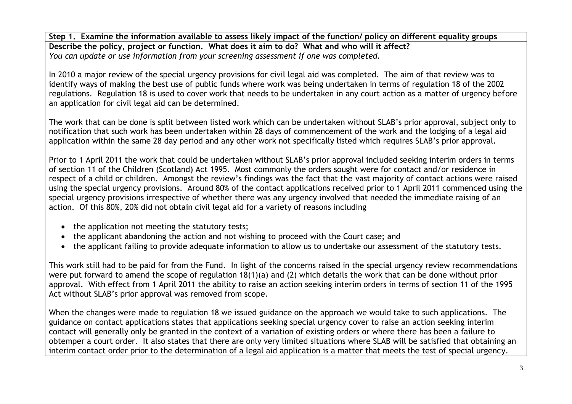**Step 1. Examine the information available to assess likely impact of the function/ policy on different equality groups Describe the policy, project or function. What does it aim to do? What and who will it affect?** *You can update or use information from your screening assessment if one was completed.*

In 2010 a major review of the special urgency provisions for civil legal aid was completed. The aim of that review was to identify ways of making the best use of public funds where work was being undertaken in terms of regulation 18 of the 2002 regulations. Regulation 18 is used to cover work that needs to be undertaken in any court action as a matter of urgency before an application for civil legal aid can be determined.

The work that can be done is split between listed work which can be undertaken without SLAB's prior approval, subject only to notification that such work has been undertaken within 28 days of commencement of the work and the lodging of a legal aid application within the same 28 day period and any other work not specifically listed which requires SLAB's prior approval.

Prior to 1 April 2011 the work that could be undertaken without SLAB's prior approval included seeking interim orders in terms of section 11 of the Children (Scotland) Act 1995. Most commonly the orders sought were for contact and/or residence in respect of a child or children. Amongst the review's findings was the fact that the vast majority of contact actions were raised using the special urgency provisions. Around 80% of the contact applications received prior to 1 April 2011 commenced using the special urgency provisions irrespective of whether there was any urgency involved that needed the immediate raising of an action. Of this 80%, 20% did not obtain civil legal aid for a variety of reasons including

- the application not meeting the statutory tests;
- the applicant abandoning the action and not wishing to proceed with the Court case; and
- the applicant failing to provide adequate information to allow us to undertake our assessment of the statutory tests.

This work still had to be paid for from the Fund. In light of the concerns raised in the special urgency review recommendations were put forward to amend the scope of regulation 18(1)(a) and (2) which details the work that can be done without prior approval. With effect from 1 April 2011 the ability to raise an action seeking interim orders in terms of section 11 of the 1995 Act without SLAB's prior approval was removed from scope.

When the changes were made to regulation 18 we issued guidance on the approach we would take to such applications. The guidance on contact applications states that applications seeking special urgency cover to raise an action seeking interim contact will generally only be granted in the context of a variation of existing orders or where there has been a failure to obtemper a court order. It also states that there are only very limited situations where SLAB will be satisfied that obtaining an interim contact order prior to the determination of a legal aid application is a matter that meets the test of special urgency.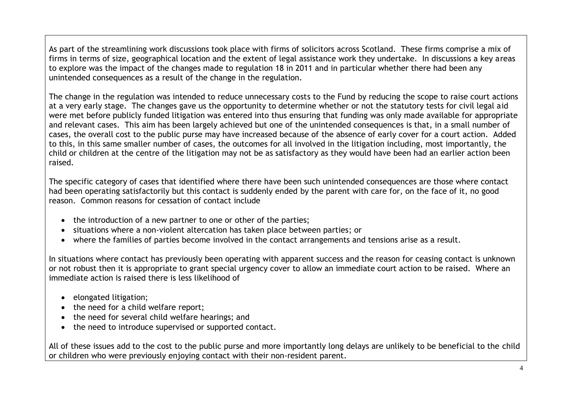As part of the streamlining work discussions took place with firms of solicitors across Scotland. These firms comprise a mix of firms in terms of size, geographical location and the extent of legal assistance work they undertake. In discussions a key areas to explore was the impact of the changes made to regulation 18 in 2011 and in particular whether there had been any unintended consequences as a result of the change in the regulation.

The change in the regulation was intended to reduce unnecessary costs to the Fund by reducing the scope to raise court actions at a very early stage. The changes gave us the opportunity to determine whether or not the statutory tests for civil legal aid were met before publicly funded litigation was entered into thus ensuring that funding was only made available for appropriate and relevant cases. This aim has been largely achieved but one of the unintended consequences is that, in a small number of cases, the overall cost to the public purse may have increased because of the absence of early cover for a court action. Added to this, in this same smaller number of cases, the outcomes for all involved in the litigation including, most importantly, the child or children at the centre of the litigation may not be as satisfactory as they would have been had an earlier action been raised.

The specific category of cases that identified where there have been such unintended consequences are those where contact had been operating satisfactorily but this contact is suddenly ended by the parent with care for, on the face of it, no good reason. Common reasons for cessation of contact include

- the introduction of a new partner to one or other of the parties;
- situations where a non-violent altercation has taken place between parties; or
- where the families of parties become involved in the contact arrangements and tensions arise as a result.

In situations where contact has previously been operating with apparent success and the reason for ceasing contact is unknown or not robust then it is appropriate to grant special urgency cover to allow an immediate court action to be raised. Where an immediate action is raised there is less likelihood of

- elongated litigation;
- the need for a child welfare report;
- the need for several child welfare hearings; and
- the need to introduce supervised or supported contact.

All of these issues add to the cost to the public purse and more importantly long delays are unlikely to be beneficial to the child or children who were previously enjoying contact with their non-resident parent.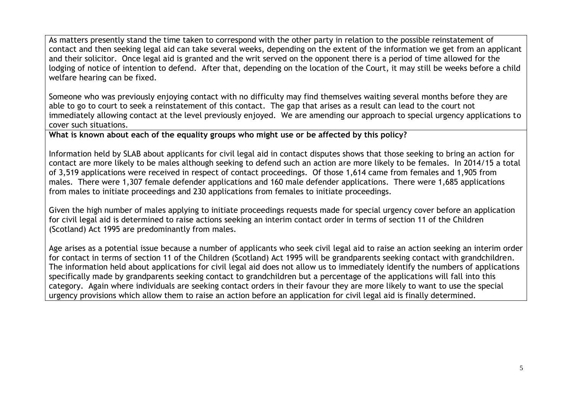As matters presently stand the time taken to correspond with the other party in relation to the possible reinstatement of contact and then seeking legal aid can take several weeks, depending on the extent of the information we get from an applicant and their solicitor. Once legal aid is granted and the writ served on the opponent there is a period of time allowed for the lodging of notice of intention to defend. After that, depending on the location of the Court, it may still be weeks before a child welfare hearing can be fixed.

Someone who was previously enjoying contact with no difficulty may find themselves waiting several months before they are able to go to court to seek a reinstatement of this contact. The gap that arises as a result can lead to the court not immediately allowing contact at the level previously enjoyed. We are amending our approach to special urgency applications to cover such situations.

**What is known about each of the equality groups who might use or be affected by this policy?** 

Information held by SLAB about applicants for civil legal aid in contact disputes shows that those seeking to bring an action for contact are more likely to be males although seeking to defend such an action are more likely to be females. In 2014/15 a total of 3,519 applications were received in respect of contact proceedings. Of those 1,614 came from females and 1,905 from males. There were 1,307 female defender applications and 160 male defender applications. There were 1,685 applications from males to initiate proceedings and 230 applications from females to initiate proceedings.

Given the high number of males applying to initiate proceedings requests made for special urgency cover before an application for civil legal aid is determined to raise actions seeking an interim contact order in terms of section 11 of the Children (Scotland) Act 1995 are predominantly from males.

Age arises as a potential issue because a number of applicants who seek civil legal aid to raise an action seeking an interim order for contact in terms of section 11 of the Children (Scotland) Act 1995 will be grandparents seeking contact with grandchildren. The information held about applications for civil legal aid does not allow us to immediately identify the numbers of applications specifically made by grandparents seeking contact to grandchildren but a percentage of the applications will fall into this category. Again where individuals are seeking contact orders in their favour they are more likely to want to use the special urgency provisions which allow them to raise an action before an application for civil legal aid is finally determined.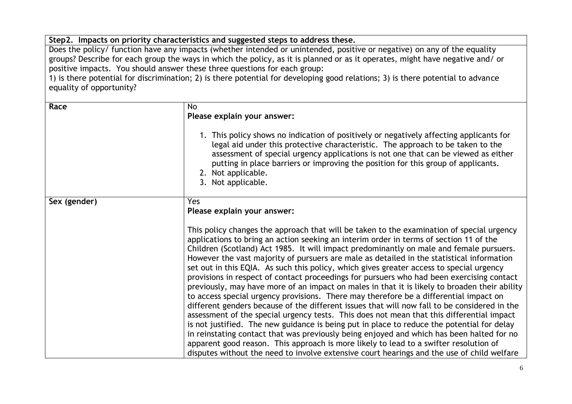**Step2. Impacts on priority characteristics and suggested steps to address these.**

Does the policy/ function have any impacts (whether intended or unintended, positive or negative) on any of the equality groups? Describe for each group the ways in which the policy, as it is planned or as it operates, might have negative and/ or positive impacts. You should answer these three questions for each group:

1) is there potential for discrimination; 2) is there potential for developing good relations; 3) is there potential to advance equality of opportunity?

| Race         | <b>No</b><br>Please explain your answer:<br>1. This policy shows no indication of positively or negatively affecting applicants for<br>legal aid under this protective characteristic. The approach to be taken to the<br>assessment of special urgency applications is not one that can be viewed as either<br>putting in place barriers or improving the position for this group of applicants.<br>2. Not applicable.<br>3. Not applicable.                                                                                                                                                                                                                                                                                                                                                                                                                                                                                                                                                                                                                                                                                                                                                                                                                                                                                                                                       |
|--------------|-------------------------------------------------------------------------------------------------------------------------------------------------------------------------------------------------------------------------------------------------------------------------------------------------------------------------------------------------------------------------------------------------------------------------------------------------------------------------------------------------------------------------------------------------------------------------------------------------------------------------------------------------------------------------------------------------------------------------------------------------------------------------------------------------------------------------------------------------------------------------------------------------------------------------------------------------------------------------------------------------------------------------------------------------------------------------------------------------------------------------------------------------------------------------------------------------------------------------------------------------------------------------------------------------------------------------------------------------------------------------------------|
| Sex (gender) | Yes<br>Please explain your answer:<br>This policy changes the approach that will be taken to the examination of special urgency<br>applications to bring an action seeking an interim order in terms of section 11 of the<br>Children (Scotland) Act 1985. It will impact predominantly on male and female pursuers.<br>However the vast majority of pursuers are male as detailed in the statistical information<br>set out in this EQIA. As such this policy, which gives greater access to special urgency<br>provisions in respect of contact proceedings for pursuers who had been exercising contact<br>previously, may have more of an impact on males in that it is likely to broaden their ability<br>to access special urgency provisions. There may therefore be a differential impact on<br>different genders because of the different issues that will now fall to be considered in the<br>assessment of the special urgency tests. This does not mean that this differential impact<br>is not justified. The new guidance is being put in place to reduce the potential for delay<br>in reinstating contact that was previously being enjoyed and which has been halted for no<br>apparent good reason. This approach is more likely to lead to a swifter resolution of<br>disputes without the need to involve extensive court hearings and the use of child welfare |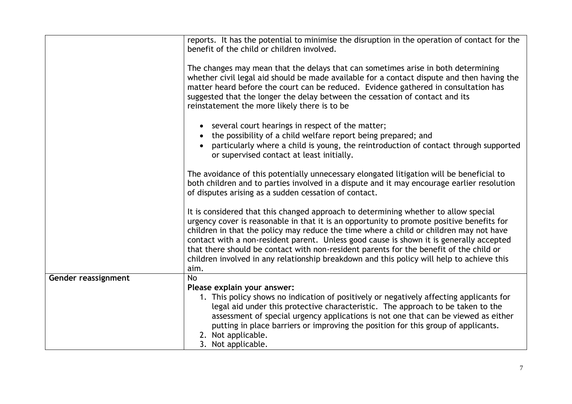|                     | reports. It has the potential to minimise the disruption in the operation of contact for the<br>benefit of the child or children involved.                                                                                                                                                                                                                                                                                                                                                                                                                           |
|---------------------|----------------------------------------------------------------------------------------------------------------------------------------------------------------------------------------------------------------------------------------------------------------------------------------------------------------------------------------------------------------------------------------------------------------------------------------------------------------------------------------------------------------------------------------------------------------------|
|                     | The changes may mean that the delays that can sometimes arise in both determining<br>whether civil legal aid should be made available for a contact dispute and then having the<br>matter heard before the court can be reduced. Evidence gathered in consultation has<br>suggested that the longer the delay between the cessation of contact and its<br>reinstatement the more likely there is to be                                                                                                                                                               |
|                     | several court hearings in respect of the matter;<br>the possibility of a child welfare report being prepared; and<br>particularly where a child is young, the reintroduction of contact through supported<br>or supervised contact at least initially.                                                                                                                                                                                                                                                                                                               |
|                     | The avoidance of this potentially unnecessary elongated litigation will be beneficial to<br>both children and to parties involved in a dispute and it may encourage earlier resolution<br>of disputes arising as a sudden cessation of contact.                                                                                                                                                                                                                                                                                                                      |
|                     | It is considered that this changed approach to determining whether to allow special<br>urgency cover is reasonable in that it is an opportunity to promote positive benefits for<br>children in that the policy may reduce the time where a child or children may not have<br>contact with a non-resident parent. Unless good cause is shown it is generally accepted<br>that there should be contact with non-resident parents for the benefit of the child or<br>children involved in any relationship breakdown and this policy will help to achieve this<br>aim. |
| Gender reassignment | No                                                                                                                                                                                                                                                                                                                                                                                                                                                                                                                                                                   |
|                     | Please explain your answer:                                                                                                                                                                                                                                                                                                                                                                                                                                                                                                                                          |
|                     | 1. This policy shows no indication of positively or negatively affecting applicants for                                                                                                                                                                                                                                                                                                                                                                                                                                                                              |
|                     | legal aid under this protective characteristic. The approach to be taken to the<br>assessment of special urgency applications is not one that can be viewed as either                                                                                                                                                                                                                                                                                                                                                                                                |
|                     | putting in place barriers or improving the position for this group of applicants.                                                                                                                                                                                                                                                                                                                                                                                                                                                                                    |
|                     | 2. Not applicable.                                                                                                                                                                                                                                                                                                                                                                                                                                                                                                                                                   |
|                     | 3. Not applicable.                                                                                                                                                                                                                                                                                                                                                                                                                                                                                                                                                   |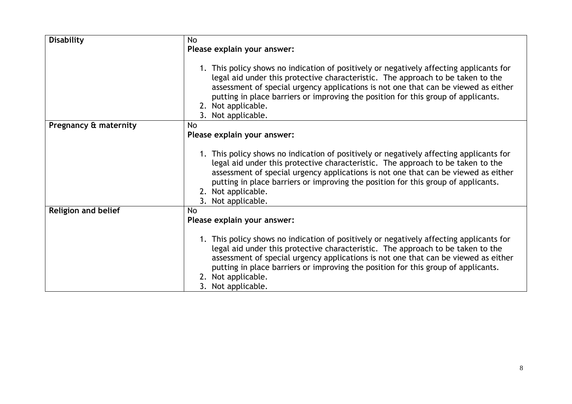| <b>Disability</b>          | <b>No</b>                                                                                                                                                                                                                                                                                                                                                                                         |
|----------------------------|---------------------------------------------------------------------------------------------------------------------------------------------------------------------------------------------------------------------------------------------------------------------------------------------------------------------------------------------------------------------------------------------------|
|                            | Please explain your answer:                                                                                                                                                                                                                                                                                                                                                                       |
|                            |                                                                                                                                                                                                                                                                                                                                                                                                   |
|                            | 1. This policy shows no indication of positively or negatively affecting applicants for<br>legal aid under this protective characteristic. The approach to be taken to the<br>assessment of special urgency applications is not one that can be viewed as either<br>putting in place barriers or improving the position for this group of applicants.<br>2. Not applicable.<br>3. Not applicable. |
| Pregnancy & maternity      | No                                                                                                                                                                                                                                                                                                                                                                                                |
|                            | Please explain your answer:                                                                                                                                                                                                                                                                                                                                                                       |
|                            |                                                                                                                                                                                                                                                                                                                                                                                                   |
|                            | 1. This policy shows no indication of positively or negatively affecting applicants for<br>legal aid under this protective characteristic. The approach to be taken to the<br>assessment of special urgency applications is not one that can be viewed as either<br>putting in place barriers or improving the position for this group of applicants.<br>2. Not applicable.<br>3. Not applicable. |
| <b>Religion and belief</b> | <b>No</b>                                                                                                                                                                                                                                                                                                                                                                                         |
|                            | Please explain your answer:                                                                                                                                                                                                                                                                                                                                                                       |
|                            | 1. This policy shows no indication of positively or negatively affecting applicants for<br>legal aid under this protective characteristic. The approach to be taken to the<br>assessment of special urgency applications is not one that can be viewed as either<br>putting in place barriers or improving the position for this group of applicants.<br>2. Not applicable.<br>3. Not applicable. |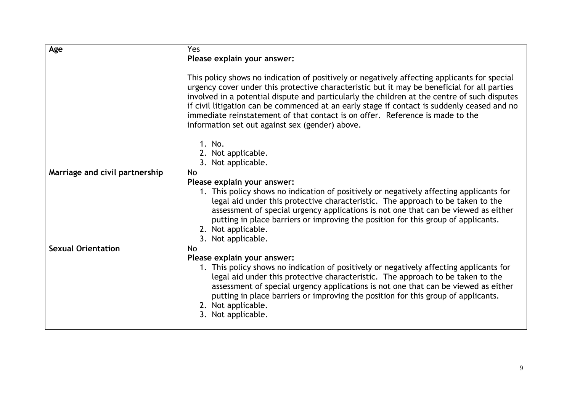| Age                            | Yes                                                                                                                                                                                                                                                                                                                                                                                                                                                                                                                            |
|--------------------------------|--------------------------------------------------------------------------------------------------------------------------------------------------------------------------------------------------------------------------------------------------------------------------------------------------------------------------------------------------------------------------------------------------------------------------------------------------------------------------------------------------------------------------------|
|                                | Please explain your answer:                                                                                                                                                                                                                                                                                                                                                                                                                                                                                                    |
|                                | This policy shows no indication of positively or negatively affecting applicants for special<br>urgency cover under this protective characteristic but it may be beneficial for all parties<br>involved in a potential dispute and particularly the children at the centre of such disputes<br>if civil litigation can be commenced at an early stage if contact is suddenly ceased and no<br>immediate reinstatement of that contact is on offer. Reference is made to the<br>information set out against sex (gender) above. |
|                                | 1. No.                                                                                                                                                                                                                                                                                                                                                                                                                                                                                                                         |
|                                | 2. Not applicable.                                                                                                                                                                                                                                                                                                                                                                                                                                                                                                             |
|                                | 3. Not applicable.                                                                                                                                                                                                                                                                                                                                                                                                                                                                                                             |
| Marriage and civil partnership | <b>No</b>                                                                                                                                                                                                                                                                                                                                                                                                                                                                                                                      |
|                                | Please explain your answer:<br>1. This policy shows no indication of positively or negatively affecting applicants for<br>legal aid under this protective characteristic. The approach to be taken to the<br>assessment of special urgency applications is not one that can be viewed as either<br>putting in place barriers or improving the position for this group of applicants.<br>2. Not applicable.<br>3. Not applicable.                                                                                               |
| <b>Sexual Orientation</b>      | <b>No</b>                                                                                                                                                                                                                                                                                                                                                                                                                                                                                                                      |
|                                | Please explain your answer:                                                                                                                                                                                                                                                                                                                                                                                                                                                                                                    |
|                                | 1. This policy shows no indication of positively or negatively affecting applicants for<br>legal aid under this protective characteristic. The approach to be taken to the<br>assessment of special urgency applications is not one that can be viewed as either<br>putting in place barriers or improving the position for this group of applicants.<br>2. Not applicable.<br>3. Not applicable.                                                                                                                              |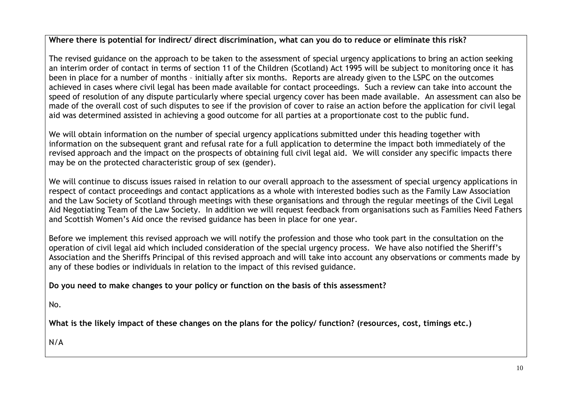## **Where there is potential for indirect/ direct discrimination, what can you do to reduce or eliminate this risk?**

The revised guidance on the approach to be taken to the assessment of special urgency applications to bring an action seeking an interim order of contact in terms of section 11 of the Children (Scotland) Act 1995 will be subject to monitoring once it has been in place for a number of months – initially after six months. Reports are already given to the LSPC on the outcomes achieved in cases where civil legal has been made available for contact proceedings. Such a review can take into account the speed of resolution of any dispute particularly where special urgency cover has been made available. An assessment can also be made of the overall cost of such disputes to see if the provision of cover to raise an action before the application for civil legal aid was determined assisted in achieving a good outcome for all parties at a proportionate cost to the public fund.

We will obtain information on the number of special urgency applications submitted under this heading together with information on the subsequent grant and refusal rate for a full application to determine the impact both immediately of the revised approach and the impact on the prospects of obtaining full civil legal aid. We will consider any specific impacts there may be on the protected characteristic group of sex (gender).

We will continue to discuss issues raised in relation to our overall approach to the assessment of special urgency applications in respect of contact proceedings and contact applications as a whole with interested bodies such as the Family Law Association and the Law Society of Scotland through meetings with these organisations and through the regular meetings of the Civil Legal Aid Negotiating Team of the Law Society. In addition we will request feedback from organisations such as Families Need Fathers and Scottish Women's Aid once the revised guidance has been in place for one year.

Before we implement this revised approach we will notify the profession and those who took part in the consultation on the operation of civil legal aid which included consideration of the special urgency process. We have also notified the Sheriff's Association and the Sheriffs Principal of this revised approach and will take into account any observations or comments made by any of these bodies or individuals in relation to the impact of this revised guidance.

**Do you need to make changes to your policy or function on the basis of this assessment?** 

No.

**What is the likely impact of these changes on the plans for the policy/ function? (resources, cost, timings etc.)**

N/A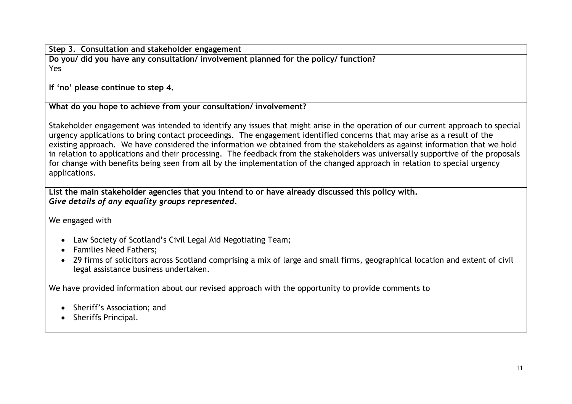**Step 3. Consultation and stakeholder engagement**

**Do you/ did you have any consultation/ involvement planned for the policy/ function?** Yes

**If 'no' please continue to step 4.**

**What do you hope to achieve from your consultation/ involvement?**

Stakeholder engagement was intended to identify any issues that might arise in the operation of our current approach to special urgency applications to bring contact proceedings. The engagement identified concerns that may arise as a result of the existing approach. We have considered the information we obtained from the stakeholders as against information that we hold in relation to applications and their processing. The feedback from the stakeholders was universally supportive of the proposals for change with benefits being seen from all by the implementation of the changed approach in relation to special urgency applications.

**List the main stakeholder agencies that you intend to or have already discussed this policy with.** *Give details of any equality groups represented.*

We engaged with

- Law Society of Scotland's Civil Legal Aid Negotiating Team;
- Families Need Fathers;
- 29 firms of solicitors across Scotland comprising a mix of large and small firms, geographical location and extent of civil legal assistance business undertaken.

We have provided information about our revised approach with the opportunity to provide comments to

- Sheriff's Association; and
- Sheriffs Principal.